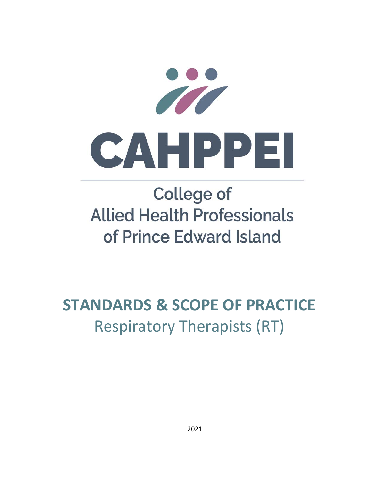

# **College of Allied Health Professionals** of Prince Edward Island

## **STANDARDS & SCOPE OF PRACTICE** Respiratory Therapists (RT)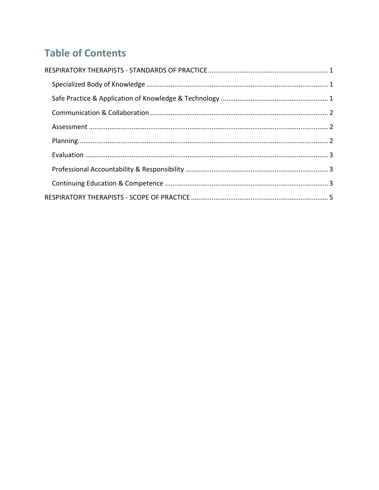## **Table of Contents**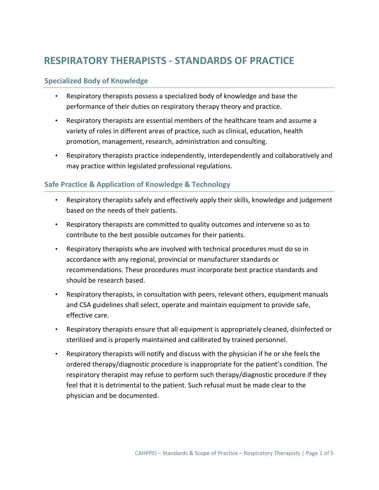## **RESPIRATORY THERAPISTS ‐ STANDARDS OF PRACTICE**

#### **Specialized Body of Knowledge**

- Respiratory therapists possess a specialized body of knowledge and base the performance of their duties on respiratory therapy theory and practice.
- Respiratory therapists are essential members of the healthcare team and assume a variety of roles in different areas of practice, such as clinical, education, health promotion, management, research, administration and consulting.
- Respiratory therapists practice independently, interdependently and collaboratively and may practice within legislated professional regulations.

#### **Safe Practice & Application of Knowledge & Technology**

- Respiratory therapists safely and effectively apply their skills, knowledge and judgement based on the needs of their patients.
- Respiratory therapists are committed to quality outcomes and intervene so as to contribute to the best possible outcomes for their patients.
- Respiratory therapists who are involved with technical procedures must do so in accordance with any regional, provincial or manufacturer standards or recommendations. These procedures must incorporate best practice standards and should be research based.
- Respiratory therapists, in consultation with peers, relevant others, equipment manuals and CSA guidelines shall select, operate and maintain equipment to provide safe, effective care.
- Respiratory therapists ensure that all equipment is appropriately cleaned, disinfected or sterilized and is properly maintained and calibrated by trained personnel.
- Respiratory therapists will notify and discuss with the physician if he or she feels the ordered therapy/diagnostic procedure is inappropriate for the patient's condition. The respiratory therapist may refuse to perform such therapy/diagnostic procedure if they feel that it is detrimental to the patient. Such refusal must be made clear to the physician and be documented.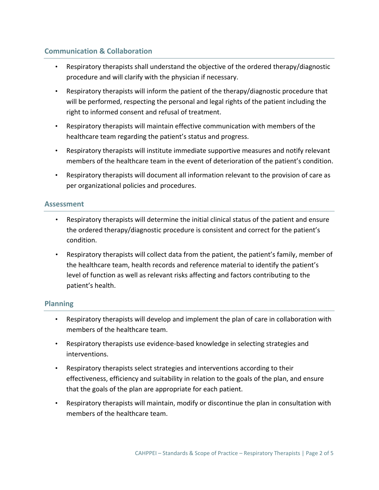#### **Communication & Collaboration**

- Respiratory therapists shall understand the objective of the ordered therapy/diagnostic procedure and will clarify with the physician if necessary.
- Respiratory therapists will inform the patient of the therapy/diagnostic procedure that will be performed, respecting the personal and legal rights of the patient including the right to informed consent and refusal of treatment.
- Respiratory therapists will maintain effective communication with members of the healthcare team regarding the patient's status and progress.
- Respiratory therapists will institute immediate supportive measures and notify relevant members of the healthcare team in the event of deterioration of the patient's condition.
- Respiratory therapists will document all information relevant to the provision of care as per organizational policies and procedures.

#### **Assessment**

- Respiratory therapists will determine the initial clinical status of the patient and ensure the ordered therapy/diagnostic procedure is consistent and correct for the patient's condition.
- Respiratory therapists will collect data from the patient, the patient's family, member of the healthcare team, health records and reference material to identify the patient's level of function as well as relevant risks affecting and factors contributing to the patient's health.

#### **Planning**

- Respiratory therapists will develop and implement the plan of care in collaboration with members of the healthcare team.
- Respiratory therapists use evidence-based knowledge in selecting strategies and interventions.
- Respiratory therapists select strategies and interventions according to their effectiveness, efficiency and suitability in relation to the goals of the plan, and ensure that the goals of the plan are appropriate for each patient.
- Respiratory therapists will maintain, modify or discontinue the plan in consultation with members of the healthcare team.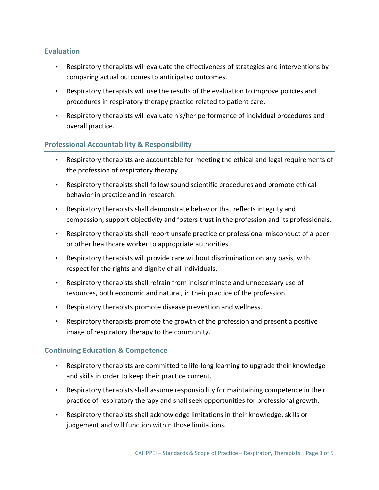#### **Evaluation**

- Respiratory therapists will evaluate the effectiveness of strategies and interventions by comparing actual outcomes to anticipated outcomes.
- Respiratory therapists will use the results of the evaluation to improve policies and procedures in respiratory therapy practice related to patient care.
- Respiratory therapists will evaluate his/her performance of individual procedures and overall practice.

#### **Professional Accountability & Responsibility**

- Respiratory therapists are accountable for meeting the ethical and legal requirements of the profession of respiratory therapy.
- Respiratory therapists shall follow sound scientific procedures and promote ethical behavior in practice and in research.
- Respiratory therapists shall demonstrate behavior that reflects integrity and compassion, support objectivity and fosters trust in the profession and its professionals.
- Respiratory therapists shall report unsafe practice or professional misconduct of a peer or other healthcare worker to appropriate authorities.
- Respiratory therapists will provide care without discrimination on any basis, with respect for the rights and dignity of all individuals.
- Respiratory therapists shall refrain from indiscriminate and unnecessary use of resources, both economic and natural, in their practice of the profession.
- Respiratory therapists promote disease prevention and wellness.
- Respiratory therapists promote the growth of the profession and present a positive image of respiratory therapy to the community.

#### **Continuing Education & Competence**

- Respiratory therapists are committed to life‐long learning to upgrade their knowledge and skills in order to keep their practice current.
- Respiratory therapists shall assume responsibility for maintaining competence in their practice of respiratory therapy and shall seek opportunities for professional growth.
- Respiratory therapists shall acknowledge limitations in their knowledge, skills or judgement and will function within those limitations.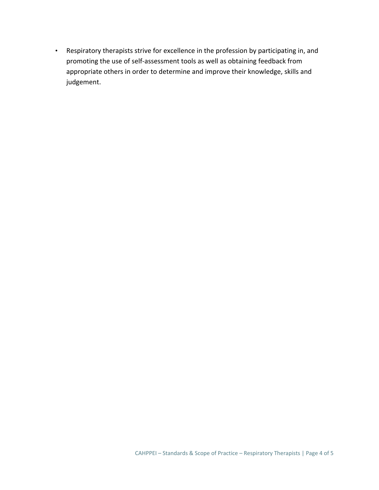• Respiratory therapists strive for excellence in the profession by participating in, and promoting the use of self‐assessment tools as well as obtaining feedback from appropriate others in order to determine and improve their knowledge, skills and judgement.